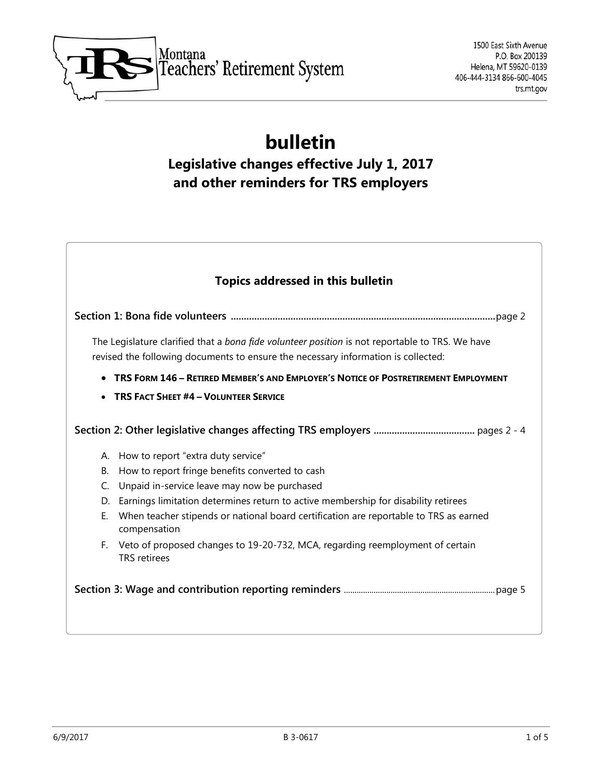

# **bulletin Legislative changes effective July 1, 2017 and other reminders for TRS employers**

|    | <b>Topics addressed in this bulletin</b>                                                                                                                                             |
|----|--------------------------------------------------------------------------------------------------------------------------------------------------------------------------------------|
|    |                                                                                                                                                                                      |
|    | The Legislature clarified that a bona fide volunteer position is not reportable to TRS. We have<br>revised the following documents to ensure the necessary information is collected: |
|    | TRS FORM 146 - RETIRED MEMBER'S AND EMPLOYER'S NOTICE OF POSTRETIREMENT EMPLOYMENT                                                                                                   |
|    | <b>TRS FACT SHEET #4 - VOLUNTEER SERVICE</b>                                                                                                                                         |
|    |                                                                                                                                                                                      |
|    |                                                                                                                                                                                      |
|    | A. How to report "extra duty service"                                                                                                                                                |
| В. | How to report fringe benefits converted to cash                                                                                                                                      |
| C. | Unpaid in-service leave may now be purchased                                                                                                                                         |
| D. | Earnings limitation determines return to active membership for disability retirees                                                                                                   |
| Е. | When teacher stipends or national board certification are reportable to TRS as earned<br>compensation                                                                                |
| F. | Veto of proposed changes to 19-20-732, MCA, regarding reemployment of certain<br><b>TRS</b> retirees                                                                                 |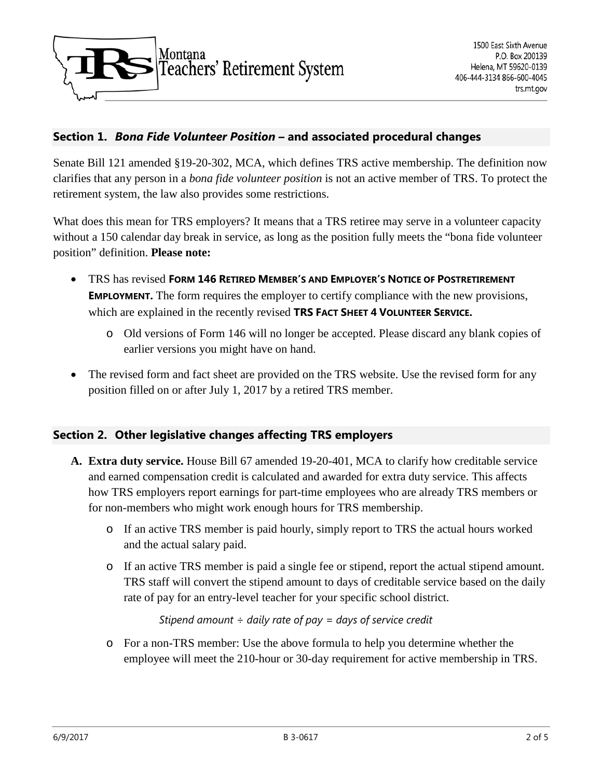

# **Section 1.** *Bona Fide Volunteer Position* **– and associated procedural changes**

Senate Bill 121 amended §19-20-302, MCA, which defines TRS active membership. The definition now clarifies that any person in a *bona fide volunteer position* is not an active member of TRS. To protect the retirement system, the law also provides some restrictions.

What does this mean for TRS employers? It means that a TRS retiree may serve in a volunteer capacity without a 150 calendar day break in service, as long as the position fully meets the "bona fide volunteer" position" definition. **Please note:**

- TRS has revised **FORM 146 RETIRED MEMBER'S AND EMPLOYER'S NOTICE OF POSTRETIREMENT EMPLOYMENT.** The form requires the employer to certify compliance with the new provisions, which are explained in the recently revised **TRS FACT SHEET 4 VOLUNTEER SERVICE.**
	- o Old versions of Form 146 will no longer be accepted. Please discard any blank copies of earlier versions you might have on hand.
- The revised form and fact sheet are provided on the TRS website. Use the revised form for any position filled on or after July 1, 2017 by a retired TRS member.

## **Section 2. Other legislative changes affecting TRS employers**

- **A. Extra duty service.** House Bill 67 amended 19-20-401, MCA to clarify how creditable service and earned compensation credit is calculated and awarded for extra duty service. This affects how TRS employers report earnings for part-time employees who are already TRS members or for non-members who might work enough hours for TRS membership.
	- o If an active TRS member is paid hourly, simply report to TRS the actual hours worked and the actual salary paid.
	- o If an active TRS member is paid a single fee or stipend, report the actual stipend amount. TRS staff will convert the stipend amount to days of creditable service based on the daily rate of pay for an entry-level teacher for your specific school district.

*Stipend amount ÷ daily rate of pay = days of service credit*

o For a non-TRS member: Use the above formula to help you determine whether the employee will meet the 210-hour or 30-day requirement for active membership in TRS.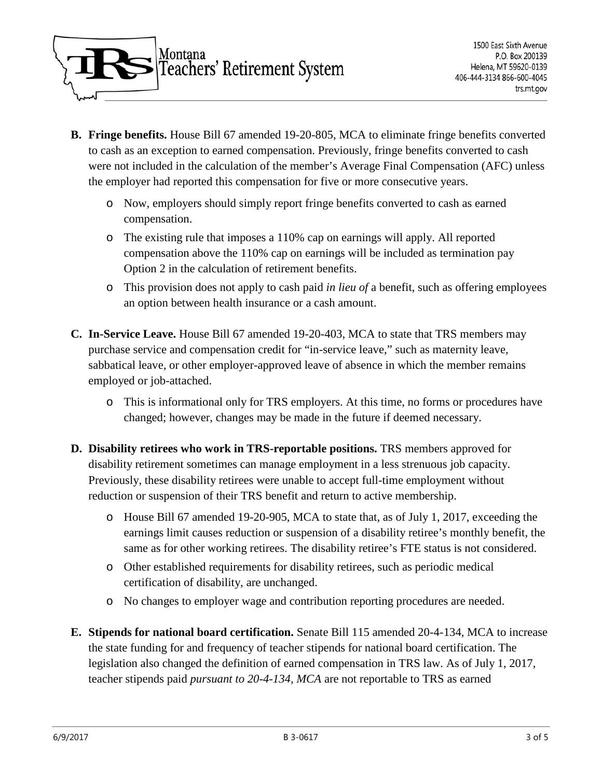

- **B. Fringe benefits.** House Bill 67 amended 19-20-805, MCA to eliminate fringe benefits converted to cash as an exception to earned compensation. Previously, fringe benefits converted to cash were not included in the calculation of the member's Average Final Compensation (AFC) unless the employer had reported this compensation for five or more consecutive years.
	- o Now, employers should simply report fringe benefits converted to cash as earned compensation.
	- o The existing rule that imposes a 110% cap on earnings will apply. All reported compensation above the 110% cap on earnings will be included as termination pay Option 2 in the calculation of retirement benefits.
	- o This provision does not apply to cash paid *in lieu of* a benefit, such as offering employees an option between health insurance or a cash amount.
- **C. In-Service Leave.** House Bill 67 amended 19-20-403, MCA to state that TRS members may purchase service and compensation credit for "in-service leave," such as maternity leave, sabbatical leave, or other employer-approved leave of absence in which the member remains employed or job-attached.
	- o This is informational only for TRS employers. At this time, no forms or procedures have changed; however, changes may be made in the future if deemed necessary.
- **D. Disability retirees who work in TRS-reportable positions.** TRS members approved for disability retirement sometimes can manage employment in a less strenuous job capacity. Previously, these disability retirees were unable to accept full-time employment without reduction or suspension of their TRS benefit and return to active membership.
	- o House Bill 67 amended 19-20-905, MCA to state that, as of July 1, 2017, exceeding the earnings limit causes reduction or suspension of a disability retiree's monthly benefit, the same as for other working retirees. The disability retiree's FTE status is not considered.
	- o Other established requirements for disability retirees, such as periodic medical certification of disability, are unchanged.
	- o No changes to employer wage and contribution reporting procedures are needed.
- **E. Stipends for national board certification.** Senate Bill 115 amended 20-4-134, MCA to increase the state funding for and frequency of teacher stipends for national board certification. The legislation also changed the definition of earned compensation in TRS law. As of July 1, 2017, teacher stipends paid *pursuant to 20-4-134, MCA* are not reportable to TRS as earned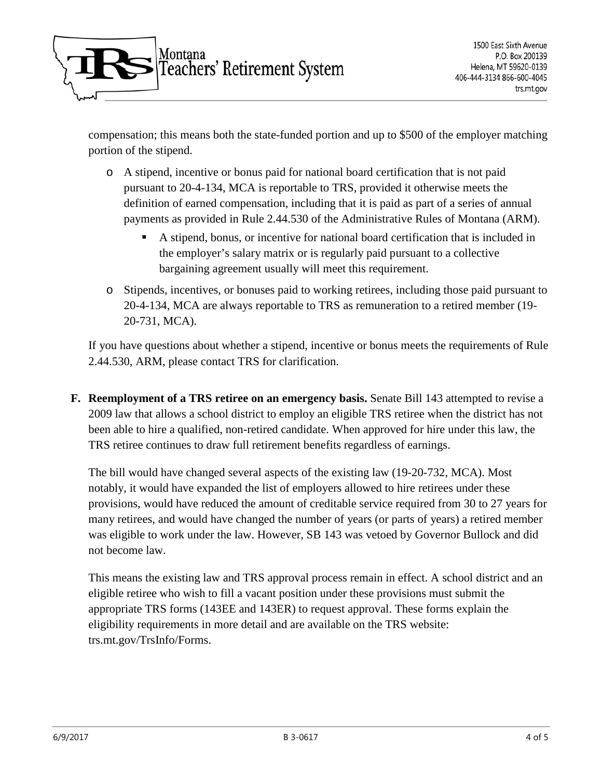

compensation; this means both the state-funded portion and up to \$500 of the employer matching portion of the stipend.

- o A stipend, incentive or bonus paid for national board certification that is not paid pursuant to 20-4-134, MCA is reportable to TRS, provided it otherwise meets the definition of earned compensation, including that it is paid as part of a series of annual payments as provided in Rule 2.44.530 of the Administrative Rules of Montana (ARM).
	- A stipend, bonus, or incentive for national board certification that is included in the employer's salary matrix or is regularly paid pursuant to a collective bargaining agreement usually will meet this requirement.
- o Stipends, incentives, or bonuses paid to working retirees, including those paid pursuant to 20-4-134, MCA are always reportable to TRS as remuneration to a retired member (19- 20-731, MCA).

If you have questions about whether a stipend, incentive or bonus meets the requirements of Rule 2.44.530, ARM, please contact TRS for clarification.

**F. Reemployment of a TRS retiree on an emergency basis.** Senate Bill 143 attempted to revise a 2009 law that allows a school district to employ an eligible TRS retiree when the district has not been able to hire a qualified, non-retired candidate. When approved for hire under this law, the TRS retiree continues to draw full retirement benefits regardless of earnings.

The bill would have changed several aspects of the existing law (19-20-732, MCA). Most notably, it would have expanded the list of employers allowed to hire retirees under these provisions, would have reduced the amount of creditable service required from 30 to 27 years for many retirees, and would have changed the number of years (or parts of years) a retired member was eligible to work under the law. However, SB 143 was vetoed by Governor Bullock and did not become law.

This means the existing law and TRS approval process remain in effect. A school district and an eligible retiree who wish to fill a vacant position under these provisions must submit the appropriate TRS forms (143EE and 143ER) to request approval. These forms explain the eligibility requirements in more detail and are available on the TRS website: trs.mt.gov/TrsInfo/Forms.